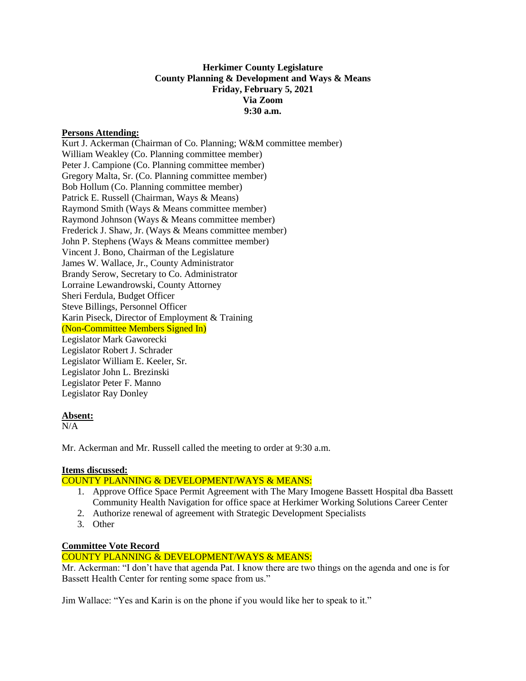# **Herkimer County Legislature County Planning & Development and Ways & Means Friday, February 5, 2021 Via Zoom 9:30 a.m.**

## **Persons Attending:**

Kurt J. Ackerman (Chairman of Co. Planning; W&M committee member) William Weakley (Co. Planning committee member) Peter J. Campione (Co. Planning committee member) Gregory Malta, Sr. (Co. Planning committee member) Bob Hollum (Co. Planning committee member) Patrick E. Russell (Chairman, Ways & Means) Raymond Smith (Ways & Means committee member) Raymond Johnson (Ways & Means committee member) Frederick J. Shaw, Jr. (Ways & Means committee member) John P. Stephens (Ways & Means committee member) Vincent J. Bono, Chairman of the Legislature James W. Wallace, Jr., County Administrator Brandy Serow, Secretary to Co. Administrator Lorraine Lewandrowski, County Attorney Sheri Ferdula, Budget Officer Steve Billings, Personnel Officer Karin Piseck, Director of Employment & Training (Non-Committee Members Signed In) Legislator Mark Gaworecki Legislator Robert J. Schrader Legislator William E. Keeler, Sr. Legislator John L. Brezinski Legislator Peter F. Manno Legislator Ray Donley

## **Absent:**

 $\overline{N/A}$ 

Mr. Ackerman and Mr. Russell called the meeting to order at 9:30 a.m.

## **Items discussed:**

## COUNTY PLANNING & DEVELOPMENT/WAYS & MEANS:

- 1. Approve Office Space Permit Agreement with The Mary Imogene Bassett Hospital dba Bassett Community Health Navigation for office space at Herkimer Working Solutions Career Center
- 2. Authorize renewal of agreement with Strategic Development Specialists
- 3. Other

## **Committee Vote Record**

## COUNTY PLANNING & DEVELOPMENT/WAYS & MEANS:

Mr. Ackerman: "I don't have that agenda Pat. I know there are two things on the agenda and one is for Bassett Health Center for renting some space from us."

Jim Wallace: "Yes and Karin is on the phone if you would like her to speak to it."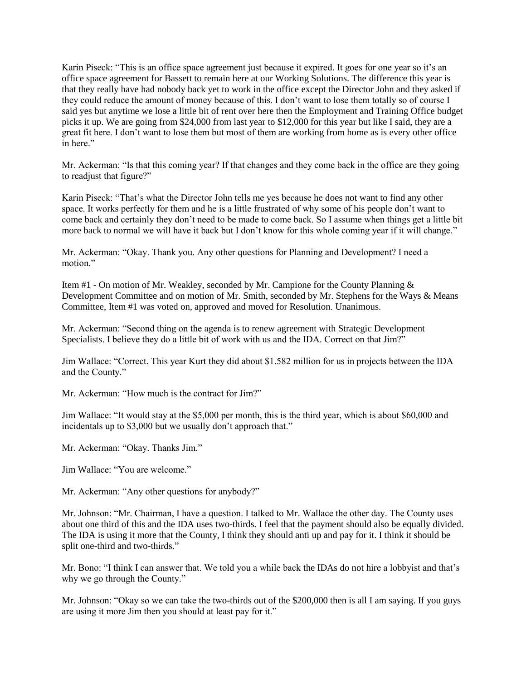Karin Piseck: "This is an office space agreement just because it expired. It goes for one year so it's an office space agreement for Bassett to remain here at our Working Solutions. The difference this year is that they really have had nobody back yet to work in the office except the Director John and they asked if they could reduce the amount of money because of this. I don't want to lose them totally so of course I said yes but anytime we lose a little bit of rent over here then the Employment and Training Office budget picks it up. We are going from \$24,000 from last year to \$12,000 for this year but like I said, they are a great fit here. I don't want to lose them but most of them are working from home as is every other office in here."

Mr. Ackerman: "Is that this coming year? If that changes and they come back in the office are they going to readjust that figure?"

Karin Piseck: "That's what the Director John tells me yes because he does not want to find any other space. It works perfectly for them and he is a little frustrated of why some of his people don't want to come back and certainly they don't need to be made to come back. So I assume when things get a little bit more back to normal we will have it back but I don't know for this whole coming year if it will change."

Mr. Ackerman: "Okay. Thank you. Any other questions for Planning and Development? I need a motion."

Item #1 - On motion of Mr. Weakley, seconded by Mr. Campione for the County Planning & Development Committee and on motion of Mr. Smith, seconded by Mr. Stephens for the Ways & Means Committee, Item #1 was voted on, approved and moved for Resolution. Unanimous.

Mr. Ackerman: "Second thing on the agenda is to renew agreement with Strategic Development Specialists. I believe they do a little bit of work with us and the IDA. Correct on that Jim?"

Jim Wallace: "Correct. This year Kurt they did about \$1.582 million for us in projects between the IDA and the County."

Mr. Ackerman: "How much is the contract for Jim?"

Jim Wallace: "It would stay at the \$5,000 per month, this is the third year, which is about \$60,000 and incidentals up to \$3,000 but we usually don't approach that."

Mr. Ackerman: "Okay. Thanks Jim."

Jim Wallace: "You are welcome."

Mr. Ackerman: "Any other questions for anybody?"

Mr. Johnson: "Mr. Chairman, I have a question. I talked to Mr. Wallace the other day. The County uses about one third of this and the IDA uses two-thirds. I feel that the payment should also be equally divided. The IDA is using it more that the County, I think they should anti up and pay for it. I think it should be split one-third and two-thirds."

Mr. Bono: "I think I can answer that. We told you a while back the IDAs do not hire a lobbyist and that's why we go through the County."

Mr. Johnson: "Okay so we can take the two-thirds out of the \$200,000 then is all I am saying. If you guys are using it more Jim then you should at least pay for it."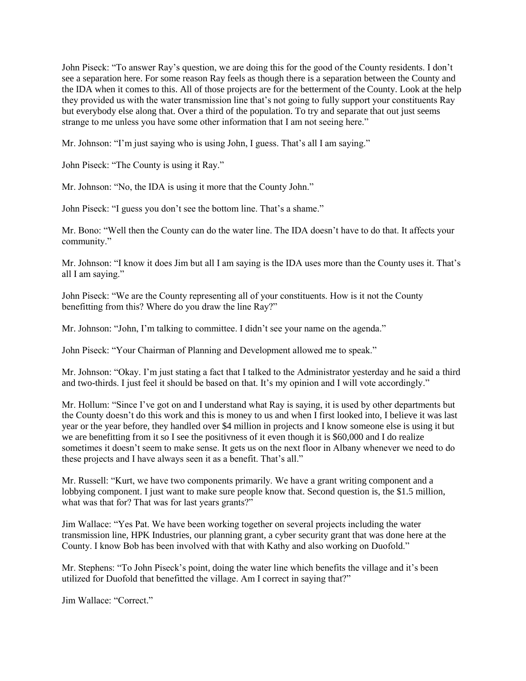John Piseck: "To answer Ray's question, we are doing this for the good of the County residents. I don't see a separation here. For some reason Ray feels as though there is a separation between the County and the IDA when it comes to this. All of those projects are for the betterment of the County. Look at the help they provided us with the water transmission line that's not going to fully support your constituents Ray but everybody else along that. Over a third of the population. To try and separate that out just seems strange to me unless you have some other information that I am not seeing here."

Mr. Johnson: "I'm just saying who is using John, I guess. That's all I am saying."

John Piseck: "The County is using it Ray."

Mr. Johnson: "No, the IDA is using it more that the County John."

John Piseck: "I guess you don't see the bottom line. That's a shame."

Mr. Bono: "Well then the County can do the water line. The IDA doesn't have to do that. It affects your community."

Mr. Johnson: "I know it does Jim but all I am saying is the IDA uses more than the County uses it. That's all I am saying."

John Piseck: "We are the County representing all of your constituents. How is it not the County benefitting from this? Where do you draw the line Ray?"

Mr. Johnson: "John, I'm talking to committee. I didn't see your name on the agenda."

John Piseck: "Your Chairman of Planning and Development allowed me to speak."

Mr. Johnson: "Okay. I'm just stating a fact that I talked to the Administrator yesterday and he said a third and two-thirds. I just feel it should be based on that. It's my opinion and I will vote accordingly."

Mr. Hollum: "Since I've got on and I understand what Ray is saying, it is used by other departments but the County doesn't do this work and this is money to us and when I first looked into, I believe it was last year or the year before, they handled over \$4 million in projects and I know someone else is using it but we are benefitting from it so I see the positivness of it even though it is \$60,000 and I do realize sometimes it doesn't seem to make sense. It gets us on the next floor in Albany whenever we need to do these projects and I have always seen it as a benefit. That's all."

Mr. Russell: "Kurt, we have two components primarily. We have a grant writing component and a lobbying component. I just want to make sure people know that. Second question is, the \$1.5 million, what was that for? That was for last years grants?"

Jim Wallace: "Yes Pat. We have been working together on several projects including the water transmission line, HPK Industries, our planning grant, a cyber security grant that was done here at the County. I know Bob has been involved with that with Kathy and also working on Duofold."

Mr. Stephens: "To John Piseck's point, doing the water line which benefits the village and it's been utilized for Duofold that benefitted the village. Am I correct in saying that?"

Jim Wallace: "Correct."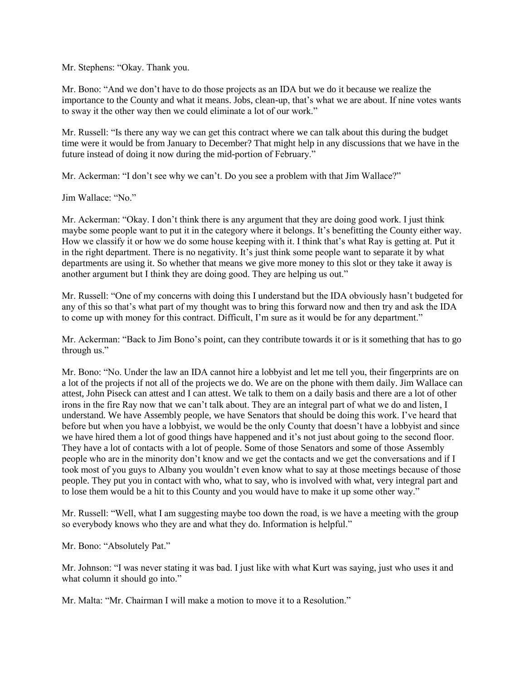Mr. Stephens: "Okay. Thank you.

Mr. Bono: "And we don't have to do those projects as an IDA but we do it because we realize the importance to the County and what it means. Jobs, clean-up, that's what we are about. If nine votes wants to sway it the other way then we could eliminate a lot of our work."

Mr. Russell: "Is there any way we can get this contract where we can talk about this during the budget time were it would be from January to December? That might help in any discussions that we have in the future instead of doing it now during the mid-portion of February."

Mr. Ackerman: "I don't see why we can't. Do you see a problem with that Jim Wallace?"

Jim Wallace: "No."

Mr. Ackerman: "Okay. I don't think there is any argument that they are doing good work. I just think maybe some people want to put it in the category where it belongs. It's benefitting the County either way. How we classify it or how we do some house keeping with it. I think that's what Ray is getting at. Put it in the right department. There is no negativity. It's just think some people want to separate it by what departments are using it. So whether that means we give more money to this slot or they take it away is another argument but I think they are doing good. They are helping us out."

Mr. Russell: "One of my concerns with doing this I understand but the IDA obviously hasn't budgeted for any of this so that's what part of my thought was to bring this forward now and then try and ask the IDA to come up with money for this contract. Difficult, I'm sure as it would be for any department."

Mr. Ackerman: "Back to Jim Bono's point, can they contribute towards it or is it something that has to go through us."

Mr. Bono: "No. Under the law an IDA cannot hire a lobbyist and let me tell you, their fingerprints are on a lot of the projects if not all of the projects we do. We are on the phone with them daily. Jim Wallace can attest, John Piseck can attest and I can attest. We talk to them on a daily basis and there are a lot of other irons in the fire Ray now that we can't talk about. They are an integral part of what we do and listen, I understand. We have Assembly people, we have Senators that should be doing this work. I've heard that before but when you have a lobbyist, we would be the only County that doesn't have a lobbyist and since we have hired them a lot of good things have happened and it's not just about going to the second floor. They have a lot of contacts with a lot of people. Some of those Senators and some of those Assembly people who are in the minority don't know and we get the contacts and we get the conversations and if I took most of you guys to Albany you wouldn't even know what to say at those meetings because of those people. They put you in contact with who, what to say, who is involved with what, very integral part and to lose them would be a hit to this County and you would have to make it up some other way."

Mr. Russell: "Well, what I am suggesting maybe too down the road, is we have a meeting with the group so everybody knows who they are and what they do. Information is helpful."

Mr. Bono: "Absolutely Pat."

Mr. Johnson: "I was never stating it was bad. I just like with what Kurt was saying, just who uses it and what column it should go into."

Mr. Malta: "Mr. Chairman I will make a motion to move it to a Resolution."